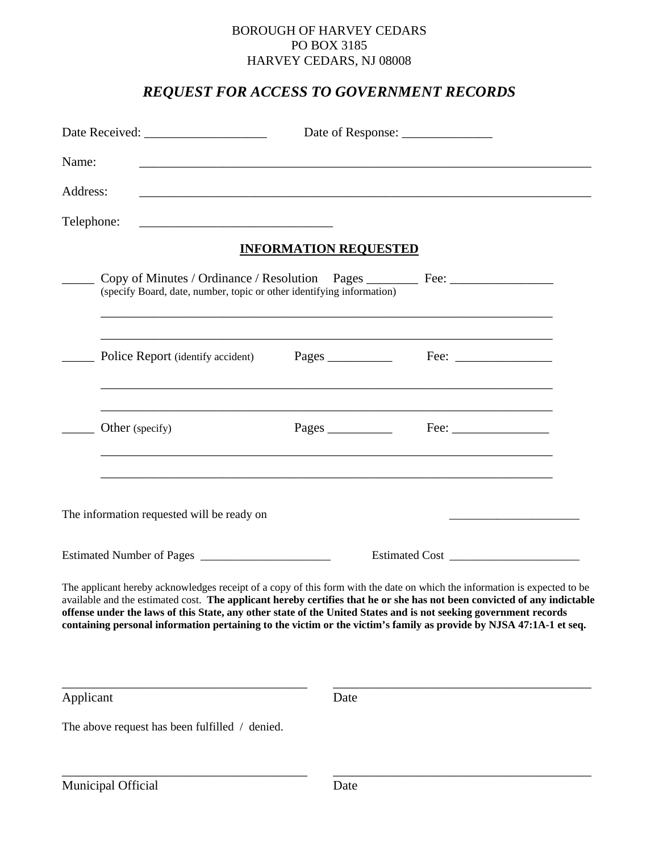#### BOROUGH OF HARVEY CEDARS PO BOX 3185 HARVEY CEDARS, NJ 08008

# *REQUEST FOR ACCESS TO GOVERNMENT RECORDS*

| Date Received: ___________________ |                                                                                                                                                           |                              |                                                                                                                                                                                                                                                                                                                                                                             |  |
|------------------------------------|-----------------------------------------------------------------------------------------------------------------------------------------------------------|------------------------------|-----------------------------------------------------------------------------------------------------------------------------------------------------------------------------------------------------------------------------------------------------------------------------------------------------------------------------------------------------------------------------|--|
| Name:                              |                                                                                                                                                           |                              |                                                                                                                                                                                                                                                                                                                                                                             |  |
| Address:                           | <u> 1989 - Johann Harry Harry Harry Harry Harry Harry Harry Harry Harry Harry Harry Harry Harry Harry Harry Harry</u>                                     |                              |                                                                                                                                                                                                                                                                                                                                                                             |  |
| Telephone:                         |                                                                                                                                                           |                              |                                                                                                                                                                                                                                                                                                                                                                             |  |
|                                    |                                                                                                                                                           | <b>INFORMATION REQUESTED</b> |                                                                                                                                                                                                                                                                                                                                                                             |  |
|                                    | Copy of Minutes / Ordinance / Resolution Pages ________ Fee: ___________________<br>(specify Board, date, number, topic or other identifying information) |                              |                                                                                                                                                                                                                                                                                                                                                                             |  |
|                                    | Police Report (identify accident)                                                                                                                         |                              |                                                                                                                                                                                                                                                                                                                                                                             |  |
|                                    | Other (specify)                                                                                                                                           |                              | $\text{Fee:}\n\qquad \qquad \qquad$                                                                                                                                                                                                                                                                                                                                         |  |
|                                    | The information requested will be ready on                                                                                                                |                              | <u> 1989 - Johann Barn, amerikan berkema dalam berkema dalam berkema dalam berkema dalam berkema dalam berkema da</u>                                                                                                                                                                                                                                                       |  |
|                                    |                                                                                                                                                           |                              |                                                                                                                                                                                                                                                                                                                                                                             |  |
|                                    | offense under the laws of this State, any other state of the United States and is not seeking government records                                          |                              | The applicant hereby acknowledges receipt of a copy of this form with the date on which the information is expected to be<br>available and the estimated cost. The applicant hereby certifies that he or she has not been convicted of any indictable<br>containing personal information pertaining to the victim or the victim's family as provide by NJSA 47:1A-1 et seq. |  |
| Applicant                          |                                                                                                                                                           | Date                         |                                                                                                                                                                                                                                                                                                                                                                             |  |
|                                    | The above request has been fulfilled / denied.                                                                                                            |                              |                                                                                                                                                                                                                                                                                                                                                                             |  |